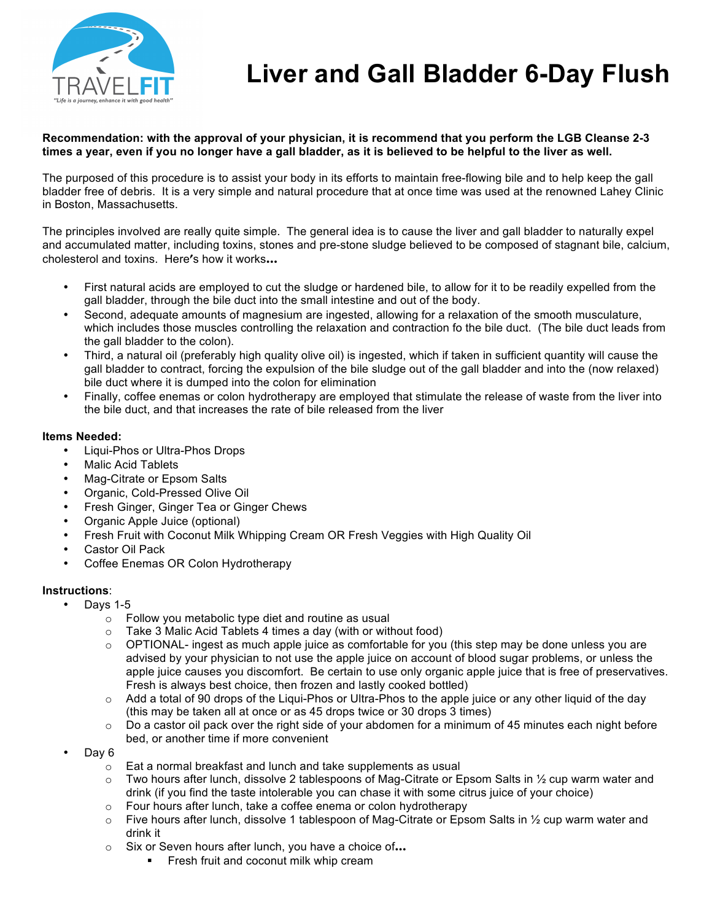

# **Liver and Gall Bladder 6-Day Flush**

## **Recommendation: with the approval of your physician, it is recommend that you perform the LGB Cleanse 2-3 times a year, even if you no longer have a gall bladder, as it is believed to be helpful to the liver as well.**

The purposed of this procedure is to assist your body in its efforts to maintain free-flowing bile and to help keep the gall bladder free of debris. It is a very simple and natural procedure that at once time was used at the renowned Lahey Clinic in Boston, Massachusetts.

The principles involved are really quite simple. The general idea is to cause the liver and gall bladder to naturally expel and accumulated matter, including toxins, stones and pre-stone sludge believed to be composed of stagnant bile, calcium, cholesterol and toxins. Here's how it works…

- First natural acids are employed to cut the sludge or hardened bile, to allow for it to be readily expelled from the gall bladder, through the bile duct into the small intestine and out of the body.
- Second, adequate amounts of magnesium are ingested, allowing for a relaxation of the smooth musculature, which includes those muscles controlling the relaxation and contraction fo the bile duct. (The bile duct leads from the gall bladder to the colon).
- Third, a natural oil (preferably high quality olive oil) is ingested, which if taken in sufficient quantity will cause the gall bladder to contract, forcing the expulsion of the bile sludge out of the gall bladder and into the (now relaxed) bile duct where it is dumped into the colon for elimination
- Finally, coffee enemas or colon hydrotherapy are employed that stimulate the release of waste from the liver into the bile duct, and that increases the rate of bile released from the liver

#### **Items Needed:**

- Liqui-Phos or Ultra-Phos Drops
- Malic Acid Tablets
- Mag-Citrate or Epsom Salts
- Organic, Cold-Pressed Olive Oil
- Fresh Ginger, Ginger Tea or Ginger Chews
- Organic Apple Juice (optional)
- Fresh Fruit with Coconut Milk Whipping Cream OR Fresh Veggies with High Quality Oil
- Castor Oil Pack
- Coffee Enemas OR Colon Hydrotherapy

## **Instructions**:

- Days 1-5
	- o Follow you metabolic type diet and routine as usual
	- $\circ$  Take 3 Malic Acid Tablets 4 times a day (with or without food)
	- $\circ$  OPTIONAL- ingest as much apple juice as comfortable for you (this step may be done unless you are advised by your physician to not use the apple juice on account of blood sugar problems, or unless the apple juice causes you discomfort. Be certain to use only organic apple juice that is free of preservatives. Fresh is always best choice, then frozen and lastly cooked bottled)
	- $\circ$  Add a total of 90 drops of the Liqui-Phos or Ultra-Phos to the apple juice or any other liquid of the day (this may be taken all at once or as 45 drops twice or 30 drops 3 times)
	- $\circ$  Do a castor oil pack over the right side of your abdomen for a minimum of 45 minutes each night before bed, or another time if more convenient
- Day 6
	- o Eat a normal breakfast and lunch and take supplements as usual
	- Two hours after lunch, dissolve 2 tablespoons of Mag-Citrate or Epsom Salts in  $\frac{1}{2}$  cup warm water and drink (if you find the taste intolerable you can chase it with some citrus juice of your choice)
	- o Four hours after lunch, take a coffee enema or colon hydrotherapy
	- $\circ$  Five hours after lunch, dissolve 1 tablespoon of Mag-Citrate or Epsom Salts in  $\frac{1}{2}$  cup warm water and drink it
	- o Six or Seven hours after lunch, you have a choice of…
		- **EXECT:** Fresh fruit and coconut milk whip cream